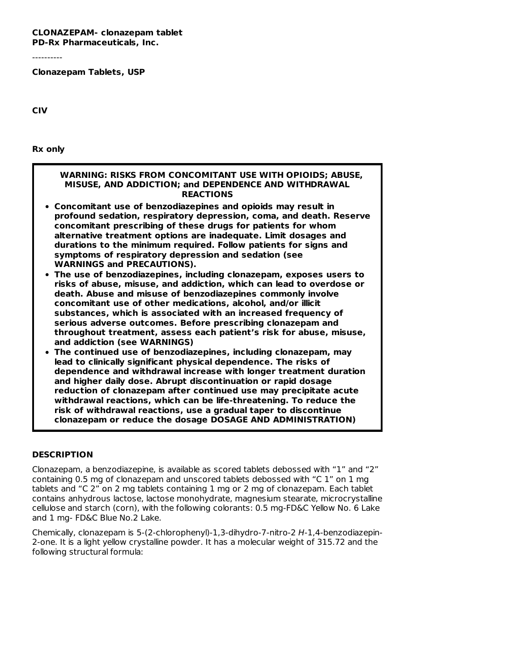#### **CLONAZEPAM- clonazepam tablet PD-Rx Pharmaceuticals, Inc.**

----------

**Clonazepam Tablets, USP**

**CIV**

**Rx only**

#### **WARNING: RISKS FROM CONCOMITANT USE WITH OPIOIDS; ABUSE, MISUSE, AND ADDICTION; and DEPENDENCE AND WITHDRAWAL REACTIONS**

- **Concomitant use of benzodiazepines and opioids may result in profound sedation, respiratory depression, coma, and death. Reserve concomitant prescribing of these drugs for patients for whom alternative treatment options are inadequate. Limit dosages and durations to the minimum required. Follow patients for signs and symptoms of respiratory depression and sedation (see WARNINGS and PRECAUTIONS).**
- **The use of benzodiazepines, including clonazepam, exposes users to risks of abuse, misuse, and addiction, which can lead to overdose or death. Abuse and misuse of benzodiazepines commonly involve concomitant use of other medications, alcohol, and/or illicit substances, which is associated with an increased frequency of serious adverse outcomes. Before prescribing clonazepam and throughout treatment, assess each patient's risk for abuse, misuse, and addiction (see WARNINGS)**
- **The continued use of benzodiazepines, including clonazepam, may lead to clinically significant physical dependence. The risks of dependence and withdrawal increase with longer treatment duration and higher daily dose. Abrupt discontinuation or rapid dosage reduction of clonazepam after continued use may precipitate acute withdrawal reactions, which can be life-threatening. To reduce the risk of withdrawal reactions, use a gradual taper to discontinue clonazepam or reduce the dosage DOSAGE AND ADMINISTRATION)**

## **DESCRIPTION**

Clonazepam, a benzodiazepine, is available as scored tablets debossed with "1" and "2" containing 0.5 mg of clonazepam and unscored tablets debossed with "C 1" on 1 mg tablets and "C 2" on 2 mg tablets containing 1 mg or 2 mg of clonazepam. Each tablet contains anhydrous lactose, lactose monohydrate, magnesium stearate, microcrystalline cellulose and starch (corn), with the following colorants: 0.5 mg-FD&C Yellow No. 6 Lake and 1 mg- FD&C Blue No.2 Lake.

Chemically, clonazepam is 5-(2-chlorophenyl)-1,3-dihydro-7-nitro-2 H-1,4-benzodiazepin-2-one. It is a light yellow crystalline powder. It has a molecular weight of 315.72 and the following structural formula: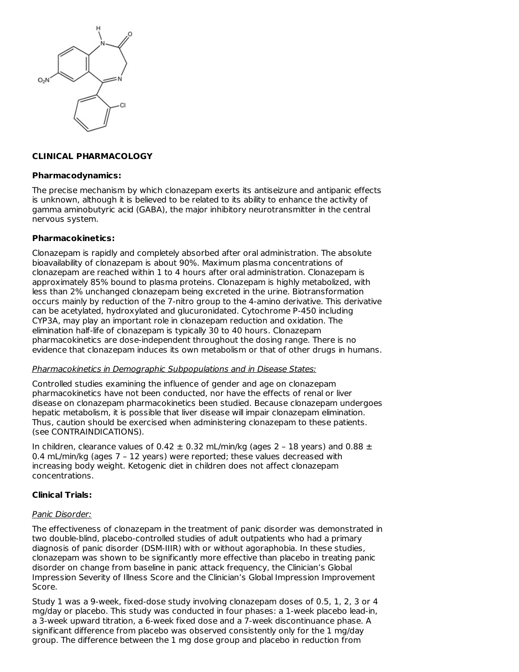

## **CLINICAL PHARMACOLOGY**

### **Pharmacodynamics:**

The precise mechanism by which clonazepam exerts its antiseizure and antipanic effects is unknown, although it is believed to be related to its ability to enhance the activity of gamma aminobutyric acid (GABA), the major inhibitory neurotransmitter in the central nervous system.

## **Pharmacokinetics:**

Clonazepam is rapidly and completely absorbed after oral administration. The absolute bioavailability of clonazepam is about 90%. Maximum plasma concentrations of clonazepam are reached within 1 to 4 hours after oral administration. Clonazepam is approximately 85% bound to plasma proteins. Clonazepam is highly metabolized, with less than 2% unchanged clonazepam being excreted in the urine. Biotransformation occurs mainly by reduction of the 7-nitro group to the 4-amino derivative. This derivative can be acetylated, hydroxylated and glucuronidated. Cytochrome P-450 including CYP3A, may play an important role in clonazepam reduction and oxidation. The elimination half-life of clonazepam is typically 30 to 40 hours. Clonazepam pharmacokinetics are dose-independent throughout the dosing range. There is no evidence that clonazepam induces its own metabolism or that of other drugs in humans.

#### Pharmacokinetics in Demographic Subpopulations and in Disease States:

Controlled studies examining the influence of gender and age on clonazepam pharmacokinetics have not been conducted, nor have the effects of renal or liver disease on clonazepam pharmacokinetics been studied. Because clonazepam undergoes hepatic metabolism, it is possible that liver disease will impair clonazepam elimination. Thus, caution should be exercised when administering clonazepam to these patients. (see CONTRAINDICATIONS).

In children, clearance values of  $0.42 \pm 0.32$  mL/min/kg (ages 2 - 18 years) and  $0.88 \pm 0.32$ 0.4 mL/min/kg (ages 7 – 12 years) were reported; these values decreased with increasing body weight. Ketogenic diet in children does not affect clonazepam concentrations.

# **Clinical Trials:**

## Panic Disorder:

The effectiveness of clonazepam in the treatment of panic disorder was demonstrated in two double-blind, placebo-controlled studies of adult outpatients who had a primary diagnosis of panic disorder (DSM-IIIR) with or without agoraphobia. In these studies, clonazepam was shown to be significantly more effective than placebo in treating panic disorder on change from baseline in panic attack frequency, the Clinician's Global Impression Severity of Illness Score and the Clinician's Global Impression Improvement Score.

Study 1 was a 9-week, fixed-dose study involving clonazepam doses of 0.5, 1, 2, 3 or 4 mg/day or placebo. This study was conducted in four phases: a 1-week placebo lead-in, a 3-week upward titration, a 6-week fixed dose and a 7-week discontinuance phase. A significant difference from placebo was observed consistently only for the 1 mg/day group. The difference between the 1 mg dose group and placebo in reduction from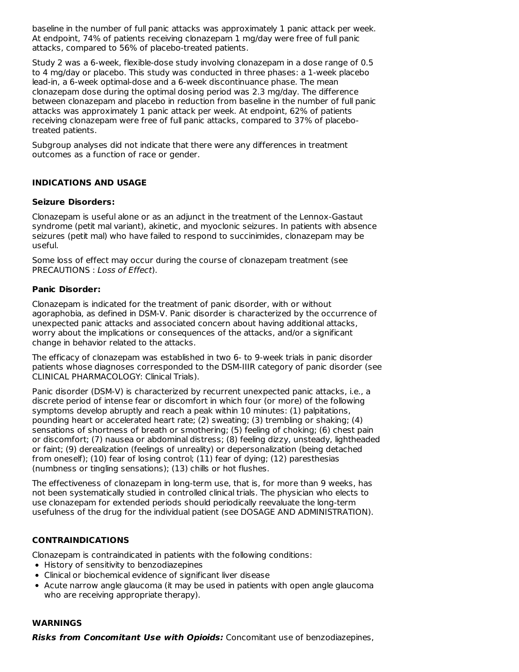baseline in the number of full panic attacks was approximately 1 panic attack per week. At endpoint, 74% of patients receiving clonazepam 1 mg/day were free of full panic attacks, compared to 56% of placebo-treated patients.

Study 2 was a 6-week, flexible-dose study involving clonazepam in a dose range of 0.5 to 4 mg/day or placebo. This study was conducted in three phases: a 1-week placebo lead-in, a 6-week optimal-dose and a 6-week discontinuance phase. The mean clonazepam dose during the optimal dosing period was 2.3 mg/day. The difference between clonazepam and placebo in reduction from baseline in the number of full panic attacks was approximately 1 panic attack per week. At endpoint, 62% of patients receiving clonazepam were free of full panic attacks, compared to 37% of placebotreated patients.

Subgroup analyses did not indicate that there were any differences in treatment outcomes as a function of race or gender.

# **INDICATIONS AND USAGE**

### **Seizure Disorders:**

Clonazepam is useful alone or as an adjunct in the treatment of the Lennox-Gastaut syndrome (petit mal variant), akinetic, and myoclonic seizures. In patients with absence seizures (petit mal) who have failed to respond to succinimides, clonazepam may be useful.

Some loss of effect may occur during the course of clonazepam treatment (see PRECAUTIONS : Loss of Effect).

## **Panic Disorder:**

Clonazepam is indicated for the treatment of panic disorder, with or without agoraphobia, as defined in DSM-V. Panic disorder is characterized by the occurrence of unexpected panic attacks and associated concern about having additional attacks, worry about the implications or consequences of the attacks, and/or a significant change in behavior related to the attacks.

The efficacy of clonazepam was established in two 6- to 9-week trials in panic disorder patients whose diagnoses corresponded to the DSM-IIIR category of panic disorder (see CLINICAL PHARMACOLOGY: Clinical Trials).

Panic disorder (DSM-V) is characterized by recurrent unexpected panic attacks, i.e., a discrete period of intense fear or discomfort in which four (or more) of the following symptoms develop abruptly and reach a peak within 10 minutes: (1) palpitations, pounding heart or accelerated heart rate; (2) sweating; (3) trembling or shaking; (4) sensations of shortness of breath or smothering; (5) feeling of choking; (6) chest pain or discomfort; (7) nausea or abdominal distress; (8) feeling dizzy, unsteady, lightheaded or faint; (9) derealization (feelings of unreality) or depersonalization (being detached from oneself); (10) fear of losing control; (11) fear of dying; (12) paresthesias (numbness or tingling sensations); (13) chills or hot flushes.

The effectiveness of clonazepam in long-term use, that is, for more than 9 weeks, has not been systematically studied in controlled clinical trials. The physician who elects to use clonazepam for extended periods should periodically reevaluate the long-term usefulness of the drug for the individual patient (see DOSAGE AND ADMINISTRATION).

## **CONTRAINDICATIONS**

Clonazepam is contraindicated in patients with the following conditions:

- History of sensitivity to benzodiazepines
- Clinical or biochemical evidence of significant liver disease
- Acute narrow angle glaucoma (it may be used in patients with open angle glaucoma who are receiving appropriate therapy).

## **WARNINGS**

**Risks from Concomitant Use with Opioids:** Concomitant use of benzodiazepines,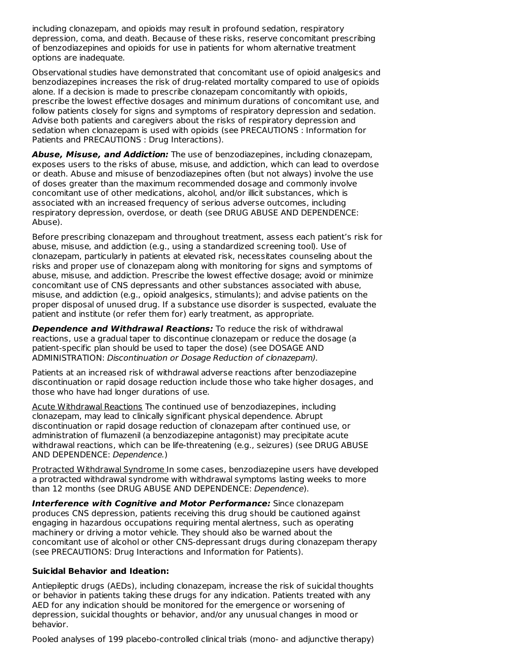including clonazepam, and opioids may result in profound sedation, respiratory depression, coma, and death. Because of these risks, reserve concomitant prescribing of benzodiazepines and opioids for use in patients for whom alternative treatment options are inadequate.

Observational studies have demonstrated that concomitant use of opioid analgesics and benzodiazepines increases the risk of drug-related mortality compared to use of opioids alone. If a decision is made to prescribe clonazepam concomitantly with opioids, prescribe the lowest effective dosages and minimum durations of concomitant use, and follow patients closely for signs and symptoms of respiratory depression and sedation. Advise both patients and caregivers about the risks of respiratory depression and sedation when clonazepam is used with opioids (see PRECAUTIONS : Information for Patients and PRECAUTIONS : Drug Interactions).

**Abuse, Misuse, and Addiction:** The use of benzodiazepines, including clonazepam, exposes users to the risks of abuse, misuse, and addiction, which can lead to overdose or death. Abuse and misuse of benzodiazepines often (but not always) involve the use of doses greater than the maximum recommended dosage and commonly involve concomitant use of other medications, alcohol, and/or illicit substances, which is associated with an increased frequency of serious adverse outcomes, including respiratory depression, overdose, or death (see DRUG ABUSE AND DEPENDENCE: Abuse).

Before prescribing clonazepam and throughout treatment, assess each patient's risk for abuse, misuse, and addiction (e.g., using a standardized screening tool). Use of clonazepam, particularly in patients at elevated risk, necessitates counseling about the risks and proper use of clonazepam along with monitoring for signs and symptoms of abuse, misuse, and addiction. Prescribe the lowest effective dosage; avoid or minimize concomitant use of CNS depressants and other substances associated with abuse, misuse, and addiction (e.g., opioid analgesics, stimulants); and advise patients on the proper disposal of unused drug. If a substance use disorder is suspected, evaluate the patient and institute (or refer them for) early treatment, as appropriate.

**Dependence and Withdrawal Reactions:** To reduce the risk of withdrawal reactions, use a gradual taper to discontinue clonazepam or reduce the dosage (a patient-specific plan should be used to taper the dose) (see DOSAGE AND ADMINISTRATION: Discontinuation or Dosage Reduction of clonazepam).

Patients at an increased risk of withdrawal adverse reactions after benzodiazepine discontinuation or rapid dosage reduction include those who take higher dosages, and those who have had longer durations of use.

Acute Withdrawal Reactions The continued use of benzodiazepines, including clonazepam, may lead to clinically significant physical dependence. Abrupt discontinuation or rapid dosage reduction of clonazepam after continued use, or administration of flumazenil (a benzodiazepine antagonist) may precipitate acute withdrawal reactions, which can be life-threatening (e.g., seizures) (see DRUG ABUSE AND DEPENDENCE: Dependence.)

Protracted Withdrawal Syndrome In some cases, benzodiazepine users have developed a protracted withdrawal syndrome with withdrawal symptoms lasting weeks to more than 12 months (see DRUG ABUSE AND DEPENDENCE: Dependence).

**Interference with Cognitive and Motor Performance:** Since clonazepam produces CNS depression, patients receiving this drug should be cautioned against engaging in hazardous occupations requiring mental alertness, such as operating machinery or driving a motor vehicle. They should also be warned about the concomitant use of alcohol or other CNS-depressant drugs during clonazepam therapy (see PRECAUTIONS: Drug Interactions and Information for Patients).

## **Suicidal Behavior and Ideation:**

Antiepileptic drugs (AEDs), including clonazepam, increase the risk of suicidal thoughts or behavior in patients taking these drugs for any indication. Patients treated with any AED for any indication should be monitored for the emergence or worsening of depression, suicidal thoughts or behavior, and/or any unusual changes in mood or behavior.

Pooled analyses of 199 placebo-controlled clinical trials (mono- and adjunctive therapy)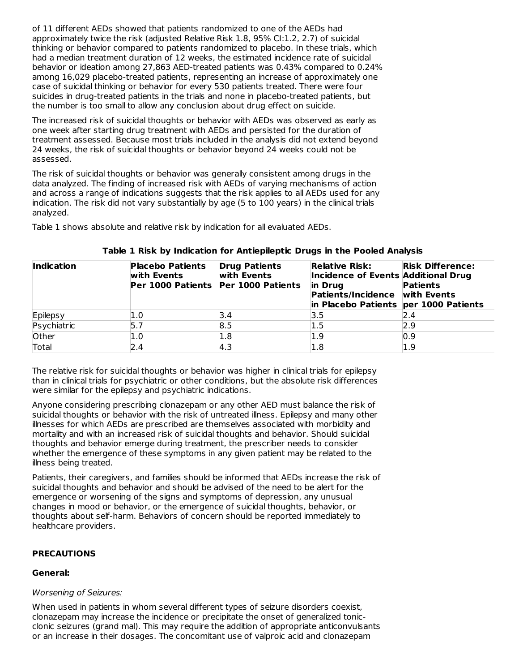of 11 different AEDs showed that patients randomized to one of the AEDs had approximately twice the risk (adjusted Relative Risk 1.8, 95% CI:1.2, 2.7) of suicidal thinking or behavior compared to patients randomized to placebo. In these trials, which had a median treatment duration of 12 weeks, the estimated incidence rate of suicidal behavior or ideation among 27,863 AED-treated patients was 0.43% compared to 0.24% among 16,029 placebo-treated patients, representing an increase of approximately one case of suicidal thinking or behavior for every 530 patients treated. There were four suicides in drug-treated patients in the trials and none in placebo-treated patients, but the number is too small to allow any conclusion about drug effect on suicide.

The increased risk of suicidal thoughts or behavior with AEDs was observed as early as one week after starting drug treatment with AEDs and persisted for the duration of treatment assessed. Because most trials included in the analysis did not extend beyond 24 weeks, the risk of suicidal thoughts or behavior beyond 24 weeks could not be assessed.

The risk of suicidal thoughts or behavior was generally consistent among drugs in the data analyzed. The finding of increased risk with AEDs of varying mechanisms of action and across a range of indications suggests that the risk applies to all AEDs used for any indication. The risk did not vary substantially by age (5 to 100 years) in the clinical trials analyzed.

Table 1 shows absolute and relative risk by indication for all evaluated AEDs.

| Indication  | <b>Placebo Patients</b><br>with Events<br>Per 1000 Patients Per 1000 Patients | <b>Drug Patients</b><br>with Events | <b>Relative Risk:</b><br><b>Incidence of Events Additional Drug</b><br>lin Drua<br>Patients/Incidence with Events<br>in Placebo Patients per 1000 Patients | <b>Risk Difference:</b><br><b>Patients</b> |
|-------------|-------------------------------------------------------------------------------|-------------------------------------|------------------------------------------------------------------------------------------------------------------------------------------------------------|--------------------------------------------|
| Epilepsy    | 1.0                                                                           | 3.4                                 | 3.5                                                                                                                                                        | 2.4                                        |
| Psychiatric |                                                                               | 18.5                                | 1.5                                                                                                                                                        | 2.9                                        |
| Other       | 1.0                                                                           | 1.8                                 | 1.9                                                                                                                                                        | 0.9                                        |
| Total       |                                                                               | $\overline{A}$ .3                   | 1.8                                                                                                                                                        | 1.9                                        |

**Table 1 Risk by Indication for Antiepileptic Drugs in the Pooled Analysis**

The relative risk for suicidal thoughts or behavior was higher in clinical trials for epilepsy than in clinical trials for psychiatric or other conditions, but the absolute risk differences were similar for the epilepsy and psychiatric indications.

Anyone considering prescribing clonazepam or any other AED must balance the risk of suicidal thoughts or behavior with the risk of untreated illness. Epilepsy and many other illnesses for which AEDs are prescribed are themselves associated with morbidity and mortality and with an increased risk of suicidal thoughts and behavior. Should suicidal thoughts and behavior emerge during treatment, the prescriber needs to consider whether the emergence of these symptoms in any given patient may be related to the illness being treated.

Patients, their caregivers, and families should be informed that AEDs increase the risk of suicidal thoughts and behavior and should be advised of the need to be alert for the emergence or worsening of the signs and symptoms of depression, any unusual changes in mood or behavior, or the emergence of suicidal thoughts, behavior, or thoughts about self-harm. Behaviors of concern should be reported immediately to healthcare providers.

## **PRECAUTIONS**

## **General:**

## Worsening of Seizures:

When used in patients in whom several different types of seizure disorders coexist, clonazepam may increase the incidence or precipitate the onset of generalized tonicclonic seizures (grand mal). This may require the addition of appropriate anticonvulsants or an increase in their dosages. The concomitant use of valproic acid and clonazepam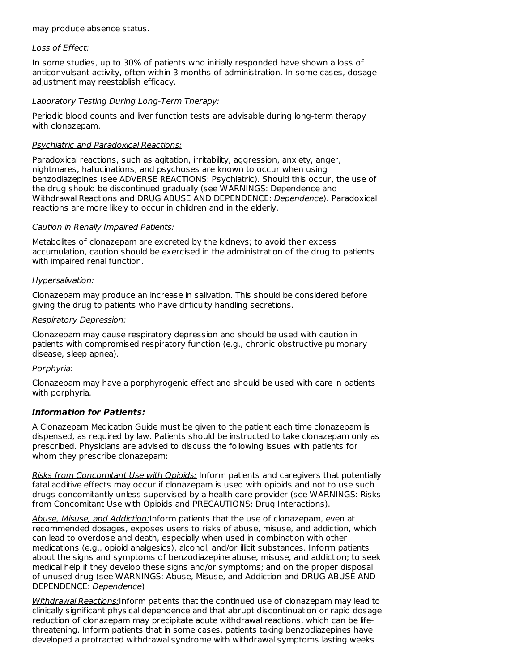may produce absence status.

### Loss of Effect:

In some studies, up to 30% of patients who initially responded have shown a loss of anticonvulsant activity, often within 3 months of administration. In some cases, dosage adjustment may reestablish efficacy.

### Laboratory Testing During Long-Term Therapy:

Periodic blood counts and liver function tests are advisable during long-term therapy with clonazepam.

### Psychiatric and Paradoxical Reactions:

Paradoxical reactions, such as agitation, irritability, aggression, anxiety, anger, nightmares, hallucinations, and psychoses are known to occur when using benzodiazepines (see ADVERSE REACTIONS: Psychiatric). Should this occur, the use of the drug should be discontinued gradually (see WARNINGS: Dependence and Withdrawal Reactions and DRUG ABUSE AND DEPENDENCE: Dependence). Paradoxical reactions are more likely to occur in children and in the elderly.

### Caution in Renally Impaired Patients:

Metabolites of clonazepam are excreted by the kidneys; to avoid their excess accumulation, caution should be exercised in the administration of the drug to patients with impaired renal function.

### Hypersalivation:

Clonazepam may produce an increase in salivation. This should be considered before giving the drug to patients who have difficulty handling secretions.

### Respiratory Depression:

Clonazepam may cause respiratory depression and should be used with caution in patients with compromised respiratory function (e.g., chronic obstructive pulmonary disease, sleep apnea).

## Porphyria:

Clonazepam may have a porphyrogenic effect and should be used with care in patients with porphyria.

## **Information for Patients:**

A Clonazepam Medication Guide must be given to the patient each time clonazepam is dispensed, as required by law. Patients should be instructed to take clonazepam only as prescribed. Physicians are advised to discuss the following issues with patients for whom they prescribe clonazepam:

Risks from Concomitant Use with Opioids: Inform patients and caregivers that potentially fatal additive effects may occur if clonazepam is used with opioids and not to use such drugs concomitantly unless supervised by a health care provider (see WARNINGS: Risks from Concomitant Use with Opioids and PRECAUTIONS: Drug Interactions).

Abuse, Misuse, and Addiction: Inform patients that the use of clonazepam, even at recommended dosages, exposes users to risks of abuse, misuse, and addiction, which can lead to overdose and death, especially when used in combination with other medications (e.g., opioid analgesics), alcohol, and/or illicit substances. Inform patients about the signs and symptoms of benzodiazepine abuse, misuse, and addiction; to seek medical help if they develop these signs and/or symptoms; and on the proper disposal of unused drug (see WARNINGS: Abuse, Misuse, and Addiction and DRUG ABUSE AND DEPENDENCE: Dependence)

Withdrawal Reactions: Inform patients that the continued use of clonazepam may lead to clinically significant physical dependence and that abrupt discontinuation or rapid dosage reduction of clonazepam may precipitate acute withdrawal reactions, which can be lifethreatening. Inform patients that in some cases, patients taking benzodiazepines have developed a protracted withdrawal syndrome with withdrawal symptoms lasting weeks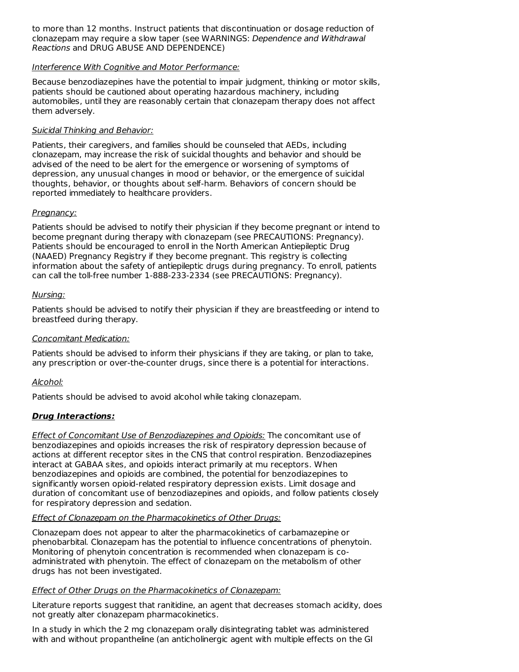to more than 12 months. Instruct patients that discontinuation or dosage reduction of clonazepam may require a slow taper (see WARNINGS: Dependence and Withdrawal Reactions and DRUG ABUSE AND DEPENDENCE)

### Interference With Cognitive and Motor Performance:

Because benzodiazepines have the potential to impair judgment, thinking or motor skills, patients should be cautioned about operating hazardous machinery, including automobiles, until they are reasonably certain that clonazepam therapy does not affect them adversely.

### Suicidal Thinking and Behavior:

Patients, their caregivers, and families should be counseled that AEDs, including clonazepam, may increase the risk of suicidal thoughts and behavior and should be advised of the need to be alert for the emergence or worsening of symptoms of depression, any unusual changes in mood or behavior, or the emergence of suicidal thoughts, behavior, or thoughts about self-harm. Behaviors of concern should be reported immediately to healthcare providers.

## Pregnancy:

Patients should be advised to notify their physician if they become pregnant or intend to become pregnant during therapy with clonazepam (see PRECAUTIONS: Pregnancy). Patients should be encouraged to enroll in the North American Antiepileptic Drug (NAAED) Pregnancy Registry if they become pregnant. This registry is collecting information about the safety of antiepileptic drugs during pregnancy. To enroll, patients can call the toll-free number 1-888-233-2334 (see PRECAUTIONS: Pregnancy).

### Nursing:

Patients should be advised to notify their physician if they are breastfeeding or intend to breastfeed during therapy.

## Concomitant Medication:

Patients should be advised to inform their physicians if they are taking, or plan to take, any prescription or over-the-counter drugs, since there is a potential for interactions.

## Alcohol:

Patients should be advised to avoid alcohol while taking clonazepam.

## **Drug Interactions:**

Effect of Concomitant Use of Benzodiazepines and Opioids: The concomitant use of benzodiazepines and opioids increases the risk of respiratory depression because of actions at different receptor sites in the CNS that control respiration. Benzodiazepines interact at GABAA sites, and opioids interact primarily at mu receptors. When benzodiazepines and opioids are combined, the potential for benzodiazepines to significantly worsen opioid-related respiratory depression exists. Limit dosage and duration of concomitant use of benzodiazepines and opioids, and follow patients closely for respiratory depression and sedation.

#### Effect of Clonazepam on the Pharmacokinetics of Other Drugs:

Clonazepam does not appear to alter the pharmacokinetics of carbamazepine or phenobarbital. Clonazepam has the potential to influence concentrations of phenytoin. Monitoring of phenytoin concentration is recommended when clonazepam is coadministrated with phenytoin. The effect of clonazepam on the metabolism of other drugs has not been investigated.

## Effect of Other Drugs on the Pharmacokinetics of Clonazepam:

Literature reports suggest that ranitidine, an agent that decreases stomach acidity, does not greatly alter clonazepam pharmacokinetics.

In a study in which the 2 mg clonazepam orally disintegrating tablet was administered with and without propantheline (an anticholinergic agent with multiple effects on the GI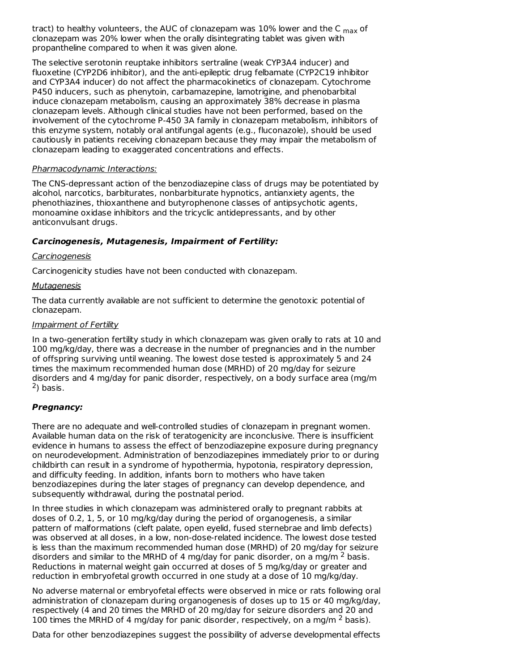tract) to healthy volunteers, the AUC of clonazepam was 10% lower and the C <sub>max</sub> of clonazepam was 20% lower when the orally disintegrating tablet was given with propantheline compared to when it was given alone.

The selective serotonin reuptake inhibitors sertraline (weak CYP3A4 inducer) and fluoxetine (CYP2D6 inhibitor), and the anti-epileptic drug felbamate (CYP2C19 inhibitor and CYP3A4 inducer) do not affect the pharmacokinetics of clonazepam. Cytochrome P450 inducers, such as phenytoin, carbamazepine, lamotrigine, and phenobarbital induce clonazepam metabolism, causing an approximately 38% decrease in plasma clonazepam levels. Although clinical studies have not been performed, based on the involvement of the cytochrome P-450 3A family in clonazepam metabolism, inhibitors of this enzyme system, notably oral antifungal agents (e.g., fluconazole), should be used cautiously in patients receiving clonazepam because they may impair the metabolism of clonazepam leading to exaggerated concentrations and effects.

### Pharmacodynamic Interactions:

The CNS-depressant action of the benzodiazepine class of drugs may be potentiated by alcohol, narcotics, barbiturates, nonbarbiturate hypnotics, antianxiety agents, the phenothiazines, thioxanthene and butyrophenone classes of antipsychotic agents, monoamine oxidase inhibitors and the tricyclic antidepressants, and by other anticonvulsant drugs.

## **Carcinogenesis, Mutagenesis, Impairment of Fertility:**

### **Carcinogenesis**

Carcinogenicity studies have not been conducted with clonazepam.

### Mutagenesis

The data currently available are not sufficient to determine the genotoxic potential of clonazepam.

### Impairment of Fertility

In a two-generation fertility study in which clonazepam was given orally to rats at 10 and 100 mg/kg/day, there was a decrease in the number of pregnancies and in the number of offspring surviving until weaning. The lowest dose tested is approximately 5 and 24 times the maximum recommended human dose (MRHD) of 20 mg/day for seizure disorders and 4 mg/day for panic disorder, respectively, on a body surface area (mg/m  $<sup>2</sup>$ ) basis.</sup>

## **Pregnancy:**

There are no adequate and well-controlled studies of clonazepam in pregnant women. Available human data on the risk of teratogenicity are inconclusive. There is insufficient evidence in humans to assess the effect of benzodiazepine exposure during pregnancy on neurodevelopment. Administration of benzodiazepines immediately prior to or during childbirth can result in a syndrome of hypothermia, hypotonia, respiratory depression, and difficulty feeding. In addition, infants born to mothers who have taken benzodiazepines during the later stages of pregnancy can develop dependence, and subsequently withdrawal, during the postnatal period.

In three studies in which clonazepam was administered orally to pregnant rabbits at doses of 0.2, 1, 5, or 10 mg/kg/day during the period of organogenesis, a similar pattern of malformations (cleft palate, open eyelid, fused sternebrae and limb defects) was observed at all doses, in a low, non-dose-related incidence. The lowest dose tested is less than the maximum recommended human dose (MRHD) of 20 mg/day for seizure disorders and similar to the MRHD of 4 mg/day for panic disorder, on a mg/m  $^2$  basis. Reductions in maternal weight gain occurred at doses of 5 mg/kg/day or greater and reduction in embryofetal growth occurred in one study at a dose of 10 mg/kg/day.

No adverse maternal or embryofetal effects were observed in mice or rats following oral administration of clonazepam during organogenesis of doses up to 15 or 40 mg/kg/day, respectively (4 and 20 times the MRHD of 20 mg/day for seizure disorders and 20 and 100 times the MRHD of 4 mg/day for panic disorder, respectively, on a mg/m  $2$  basis).

Data for other benzodiazepines suggest the possibility of adverse developmental effects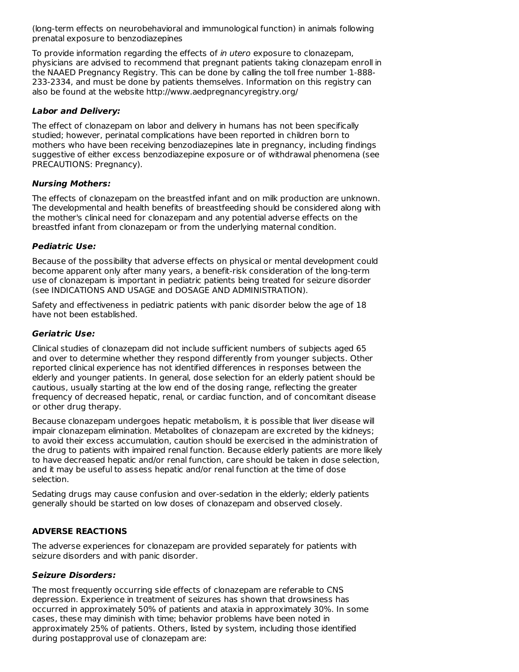(long-term effects on neurobehavioral and immunological function) in animals following prenatal exposure to benzodiazepines

To provide information regarding the effects of in utero exposure to clonazepam, physicians are advised to recommend that pregnant patients taking clonazepam enroll in the NAAED Pregnancy Registry. This can be done by calling the toll free number 1-888- 233-2334, and must be done by patients themselves. Information on this registry can also be found at the website http://www.aedpregnancyregistry.org/

### **Labor and Delivery:**

The effect of clonazepam on labor and delivery in humans has not been specifically studied; however, perinatal complications have been reported in children born to mothers who have been receiving benzodiazepines late in pregnancy, including findings suggestive of either excess benzodiazepine exposure or of withdrawal phenomena (see PRECAUTIONS: Pregnancy).

### **Nursing Mothers:**

The effects of clonazepam on the breastfed infant and on milk production are unknown. The developmental and health benefits of breastfeeding should be considered along with the mother's clinical need for clonazepam and any potential adverse effects on the breastfed infant from clonazepam or from the underlying maternal condition.

### **Pediatric Use:**

Because of the possibility that adverse effects on physical or mental development could become apparent only after many years, a benefit-risk consideration of the long-term use of clonazepam is important in pediatric patients being treated for seizure disorder (see INDICATIONS AND USAGE and DOSAGE AND ADMINISTRATION).

Safety and effectiveness in pediatric patients with panic disorder below the age of 18 have not been established.

## **Geriatric Use:**

Clinical studies of clonazepam did not include sufficient numbers of subjects aged 65 and over to determine whether they respond differently from younger subjects. Other reported clinical experience has not identified differences in responses between the elderly and younger patients. In general, dose selection for an elderly patient should be cautious, usually starting at the low end of the dosing range, reflecting the greater frequency of decreased hepatic, renal, or cardiac function, and of concomitant disease or other drug therapy.

Because clonazepam undergoes hepatic metabolism, it is possible that liver disease will impair clonazepam elimination. Metabolites of clonazepam are excreted by the kidneys; to avoid their excess accumulation, caution should be exercised in the administration of the drug to patients with impaired renal function. Because elderly patients are more likely to have decreased hepatic and/or renal function, care should be taken in dose selection, and it may be useful to assess hepatic and/or renal function at the time of dose selection.

Sedating drugs may cause confusion and over-sedation in the elderly; elderly patients generally should be started on low doses of clonazepam and observed closely.

## **ADVERSE REACTIONS**

The adverse experiences for clonazepam are provided separately for patients with seizure disorders and with panic disorder.

## **Seizure Disorders:**

The most frequently occurring side effects of clonazepam are referable to CNS depression. Experience in treatment of seizures has shown that drowsiness has occurred in approximately 50% of patients and ataxia in approximately 30%. In some cases, these may diminish with time; behavior problems have been noted in approximately 25% of patients. Others, listed by system, including those identified during postapproval use of clonazepam are: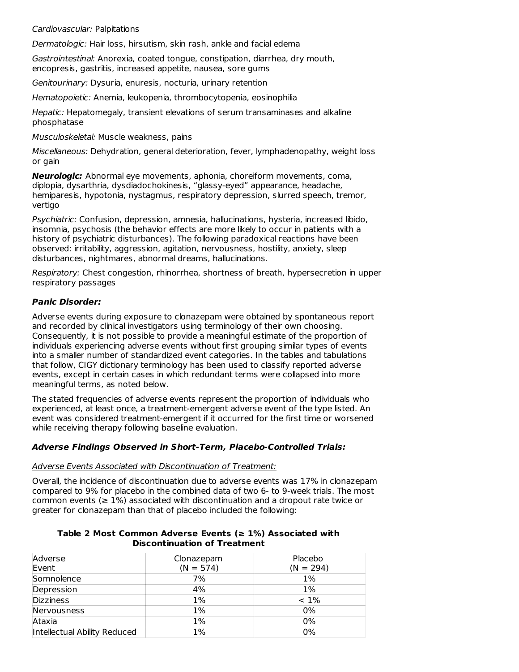Cardiovascular: Palpitations

Dermatologic: Hair loss, hirsutism, skin rash, ankle and facial edema

Gastrointestinal: Anorexia, coated tongue, constipation, diarrhea, dry mouth, encopresis, gastritis, increased appetite, nausea, sore gums

Genitourinary: Dysuria, enuresis, nocturia, urinary retention

Hematopoietic: Anemia, leukopenia, thrombocytopenia, eosinophilia

Hepatic: Hepatomegaly, transient elevations of serum transaminases and alkaline phosphatase

Musculoskeletal: Muscle weakness, pains

Miscellaneous: Dehydration, general deterioration, fever, lymphadenopathy, weight loss or gain

**Neurologic:** Abnormal eye movements, aphonia, choreiform movements, coma, diplopia, dysarthria, dysdiadochokinesis, "glassy-eyed" appearance, headache, hemiparesis, hypotonia, nystagmus, respiratory depression, slurred speech, tremor, vertigo

Psychiatric: Confusion, depression, amnesia, hallucinations, hysteria, increased libido, insomnia, psychosis (the behavior effects are more likely to occur in patients with a history of psychiatric disturbances). The following paradoxical reactions have been observed: irritability, aggression, agitation, nervousness, hostility, anxiety, sleep disturbances, nightmares, abnormal dreams, hallucinations.

Respiratory: Chest congestion, rhinorrhea, shortness of breath, hypersecretion in upper respiratory passages

# **Panic Disorder:**

Adverse events during exposure to clonazepam were obtained by spontaneous report and recorded by clinical investigators using terminology of their own choosing. Consequently, it is not possible to provide a meaningful estimate of the proportion of individuals experiencing adverse events without first grouping similar types of events into a smaller number of standardized event categories. In the tables and tabulations that follow, CIGY dictionary terminology has been used to classify reported adverse events, except in certain cases in which redundant terms were collapsed into more meaningful terms, as noted below.

The stated frequencies of adverse events represent the proportion of individuals who experienced, at least once, a treatment-emergent adverse event of the type listed. An event was considered treatment-emergent if it occurred for the first time or worsened while receiving therapy following baseline evaluation.

## **Adverse Findings Observed in Short-Term, Placebo-Controlled Trials:**

## Adverse Events Associated with Discontinuation of Treatment:

Overall, the incidence of discontinuation due to adverse events was 17% in clonazepam compared to 9% for placebo in the combined data of two 6- to 9-week trials. The most common events ( $\geq 1\%$ ) associated with discontinuation and a dropout rate twice or greater for clonazepam than that of placebo included the following:

| Adverse                      | Clonazepam  | Placebo     |  |  |
|------------------------------|-------------|-------------|--|--|
| Event                        | $(N = 574)$ | $(N = 294)$ |  |  |
| Somnolence                   | 7%          | $1\%$       |  |  |
| Depression                   | 4%          | 1%          |  |  |
| <b>Dizziness</b>             | $1\%$       | $< 1\%$     |  |  |
| <b>Nervousness</b>           | $1\%$       | 0%          |  |  |
| Ataxia                       | $1\%$       | 0%          |  |  |
| Intellectual Ability Reduced | 1%          | 0%          |  |  |

#### **Table 2 Most Common Adverse Events (≥ 1%) Associated with Discontinuation of Treatment**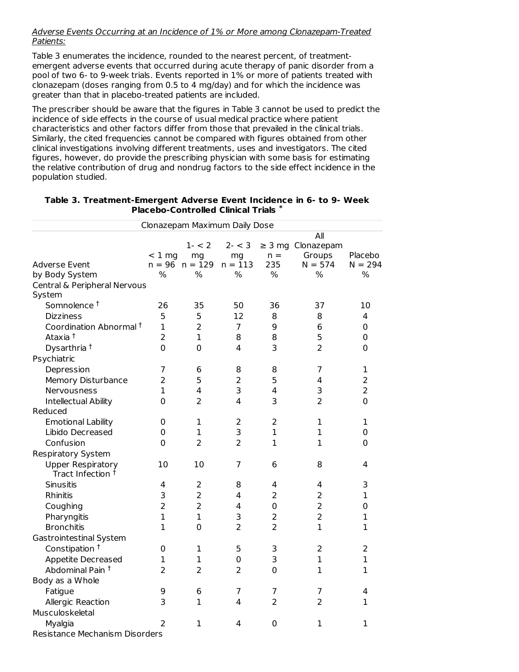#### Adverse Events Occurring at an Incidence of 1% or More among Clonazepam-Treated Patients:

Table 3 enumerates the incidence, rounded to the nearest percent, of treatmentemergent adverse events that occurred during acute therapy of panic disorder from a pool of two 6- to 9-week trials. Events reported in 1% or more of patients treated with clonazepam (doses ranging from 0.5 to 4 mg/day) and for which the incidence was greater than that in placebo-treated patients are included.

The prescriber should be aware that the figures in Table 3 cannot be used to predict the incidence of side effects in the course of usual medical practice where patient characteristics and other factors differ from those that prevailed in the clinical trials. Similarly, the cited frequencies cannot be compared with figures obtained from other clinical investigations involving different treatments, uses and investigators. The cited figures, however, do provide the prescribing physician with some basis for estimating the relative contribution of drug and nondrug factors to the side effect incidence in the population studied.

| Clonazepam Maximum Daily Dose                            |                     |                                     |                     |                |                        |                |
|----------------------------------------------------------|---------------------|-------------------------------------|---------------------|----------------|------------------------|----------------|
|                                                          |                     |                                     |                     |                | All                    |                |
|                                                          |                     | $1 - 2$                             | $2 - < 3$           |                | $\geq$ 3 mg Clonazepam |                |
|                                                          | < 1 mg              | mg                                  | mg                  | $n =$          | Groups                 | Placebo        |
| <b>Adverse Event</b>                                     | %                   | $n = 96$ $n = 129$<br>$\frac{0}{0}$ | $n = 113$<br>%      | 235<br>%       | $N = 574$<br>%         | $N = 294$<br>% |
| by Body System                                           |                     |                                     |                     |                |                        |                |
| Central & Peripheral Nervous                             |                     |                                     |                     |                |                        |                |
| System<br>Somnolence <sup>t</sup>                        | 26                  | 35                                  | 50                  | 36             | 37                     | 10             |
| <b>Dizziness</b>                                         | 5                   | 5                                   | 12                  | 8              | 8                      | 4              |
| Coordination Abnormal <sup>+</sup>                       | $\mathbf{1}$        | $\overline{2}$                      | 7                   | 9              | 6                      | 0              |
| Ataxia <sup>+</sup>                                      | $\overline{2}$      | $\mathbf{1}$                        | 8                   | 8              | 5                      |                |
|                                                          | 0                   | 0                                   | 4                   | 3              | $\overline{2}$         | 0              |
| Dysarthria <sup>†</sup><br>Psychiatric                   |                     |                                     |                     |                |                        | 0              |
|                                                          |                     |                                     |                     |                |                        |                |
| Depression                                               | 7<br>$\overline{2}$ | 6<br>5                              | 8<br>$\overline{2}$ | 8<br>5         | 7                      | $\mathbf 1$    |
| Memory Disturbance                                       |                     |                                     |                     |                | 4                      | 2              |
| Nervousness                                              | $\mathbf{1}$        | 4                                   | 3                   | $\overline{4}$ | 3                      | $\overline{2}$ |
| <b>Intellectual Ability</b><br>Reduced                   | $\overline{0}$      | $\overline{2}$                      | $\overline{4}$      | 3              | $\overline{2}$         | 0              |
|                                                          | $\mathbf 0$         | $\mathbf 1$                         |                     | $\overline{2}$ | $\mathbf 1$            |                |
| <b>Emotional Lability</b><br>Libido Decreased            | $\overline{0}$      | $\mathbf{1}$                        | 2<br>3              | $\overline{1}$ | $\mathbf{1}$           | 1<br>0         |
|                                                          | $\overline{0}$      | $\overline{2}$                      | $\overline{2}$      | $\mathbf{1}$   | $\mathbf{1}$           |                |
| Confusion                                                |                     |                                     |                     |                |                        | 0              |
| Respiratory System                                       |                     |                                     | $\overline{7}$      |                |                        |                |
| <b>Upper Respiratory</b><br>Tract Infection <sup>†</sup> | 10                  | 10                                  |                     | 6              | 8                      | 4              |
| <b>Sinusitis</b>                                         | 4                   | 2                                   | 8                   | 4              | 4                      | 3              |
| <b>Rhinitis</b>                                          | 3                   | $\overline{2}$                      | 4                   | $\overline{2}$ | $\overline{2}$         | 1              |
| Coughing                                                 | $\overline{2}$      | $\overline{2}$                      | 4                   | $\mathbf 0$    | $\overline{2}$         | 0              |
| Pharyngitis                                              | $\overline{1}$      | $\mathbf{1}$                        | 3                   | $\overline{2}$ | $\overline{2}$         | $\mathbf 1$    |
| <b>Bronchitis</b>                                        | $\mathbf{1}$        | 0                                   | $\overline{2}$      | $\overline{2}$ | $\mathbf{1}$           | $\mathbf{1}$   |
| Gastrointestinal System                                  |                     |                                     |                     |                |                        |                |
| Constipation <sup>†</sup>                                | 0                   | 1                                   | 5                   | 3              | $\overline{2}$         | 2              |
| Appetite Decreased                                       | $\mathbf{1}$        | $\mathbf{1}$                        | 0                   | 3              | $\mathbf{1}$           | 1              |
| Abdominal Pain <sup>†</sup>                              | $\overline{2}$      | $\overline{2}$                      | $\overline{2}$      | $\Omega$       | 1                      | 1              |
| Body as a Whole                                          |                     |                                     |                     |                |                        |                |
| Fatigue                                                  | 9                   | 6                                   | 7                   | 7              | 7                      | 4              |
| Allergic Reaction                                        | 3                   | 1                                   | 4                   | $\overline{2}$ | $\overline{2}$         | 1              |
| Musculoskeletal                                          |                     |                                     |                     |                |                        |                |
| Myalgia                                                  | 2                   | $\mathbf 1$                         | 4                   | $\mathbf 0$    | 1                      | $\mathbf 1$    |
| Resistance Mechanism Disorders                           |                     |                                     |                     |                |                        |                |

#### **Table 3. Treatment-Emergent Adverse Event Incidence in 6- to 9- Week Placebo-Controlled Clinical Trials \***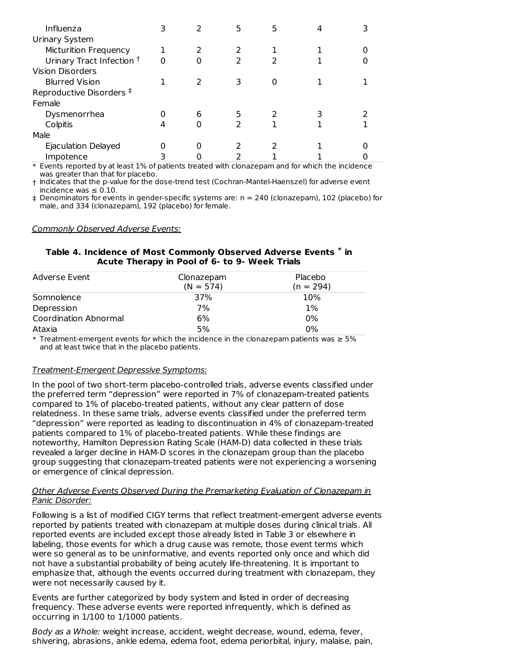| Influenza                                                                                        |   |   |   |  |  |  |
|--------------------------------------------------------------------------------------------------|---|---|---|--|--|--|
| Urinary System                                                                                   |   |   |   |  |  |  |
| Micturition Frequency                                                                            |   |   |   |  |  |  |
| Urinary Tract Infection <sup>†</sup>                                                             | 0 | O |   |  |  |  |
| <b>Vision Disorders</b>                                                                          |   |   |   |  |  |  |
| <b>Blurred Vision</b>                                                                            |   |   |   |  |  |  |
| Reproductive Disorders #                                                                         |   |   |   |  |  |  |
| Female                                                                                           |   |   |   |  |  |  |
| Dysmenorrhea                                                                                     |   | 6 | 5 |  |  |  |
| Colpitis                                                                                         |   |   |   |  |  |  |
| Male                                                                                             |   |   |   |  |  |  |
| Ejaculation Delayed                                                                              |   |   |   |  |  |  |
| Impotence                                                                                        |   |   |   |  |  |  |
| represented and the street 10/ of potionted tracted with along anoma and far which the incidence |   |   |   |  |  |  |

 $\ast$  Events reported by at least 1% of patients treated with clonazepam and for which the incidence was greater than that for placebo.

† Indicates that the p-value for the dose-trend test (Cochran-Mantel-Haenszel) for adverse event incidence was ≤ 0.10.

‡ Denominators for events in gender-specific systems are: n = 240 (clonazepam), 102 (placebo) for male, and 334 (clonazepam), 192 (placebo) for female.

## Commonly Observed Adverse Events:

#### **Table 4. Incidence of Most Commonly Observed Adverse Events in \* Acute Therapy in Pool of 6- to 9- Week Trials**

| Adverse Event         | Clonazepam<br>$(N = 574)$ | Placebo<br>$(n = 294)$ |  |  |
|-----------------------|---------------------------|------------------------|--|--|
| Somnolence            | 37%                       | 10%                    |  |  |
| Depression            | 7%                        | $1\%$                  |  |  |
| Coordination Abnormal | 6%                        | $0\%$                  |  |  |
| Ataxia                | .5%                       | $0\%$                  |  |  |

\* Treatment-emergent events for which the incidence in the clonazepam patients was ≥ 5% and at least twice that in the placebo patients.

# Treatment-Emergent Depressive Symptoms:

In the pool of two short-term placebo-controlled trials, adverse events classified under the preferred term "depression" were reported in 7% of clonazepam-treated patients compared to 1% of placebo-treated patients, without any clear pattern of dose relatedness. In these same trials, adverse events classified under the preferred term "depression" were reported as leading to discontinuation in 4% of clonazepam-treated patients compared to 1% of placebo-treated patients. While these findings are noteworthy, Hamilton Depression Rating Scale (HAM-D) data collected in these trials revealed a larger decline in HAM-D scores in the clonazepam group than the placebo group suggesting that clonazepam-treated patients were not experiencing a worsening or emergence of clinical depression.

## Other Adverse Events Observed During the Premarketing Evaluation of Clonazepam in Panic Disorder:

Following is a list of modified CIGY terms that reflect treatment-emergent adverse events reported by patients treated with clonazepam at multiple doses during clinical trials. All reported events are included except those already listed in Table 3 or elsewhere in labeling, those events for which a drug cause was remote, those event terms which were so general as to be uninformative, and events reported only once and which did not have a substantial probability of being acutely life-threatening. It is important to emphasize that, although the events occurred during treatment with clonazepam, they were not necessarily caused by it.

Events are further categorized by body system and listed in order of decreasing frequency. These adverse events were reported infrequently, which is defined as occurring in 1/100 to 1/1000 patients.

Body as a Whole: weight increase, accident, weight decrease, wound, edema, fever, shivering, abrasions, ankle edema, edema foot, edema periorbital, injury, malaise, pain,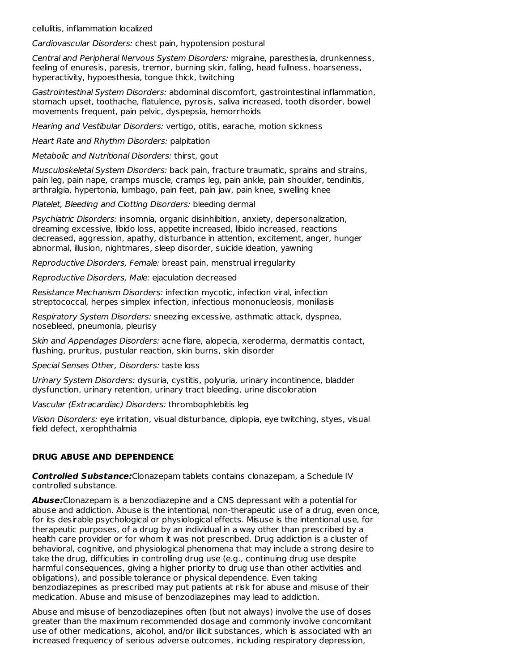cellulitis, inflammation localized

Cardiovascular Disorders: chest pain, hypotension postural

Central and Peripheral Nervous System Disorders: migraine, paresthesia, drunkenness, feeling of enuresis, paresis, tremor, burning skin, falling, head fullness, hoarseness, hyperactivity, hypoesthesia, tongue thick, twitching

Gastrointestinal System Disorders: abdominal discomfort, gastrointestinal inflammation, stomach upset, toothache, flatulence, pyrosis, saliva increased, tooth disorder, bowel movements frequent, pain pelvic, dyspepsia, hemorrhoids

Hearing and Vestibular Disorders: vertigo, otitis, earache, motion sickness

Heart Rate and Rhythm Disorders: palpitation

Metabolic and Nutritional Disorders: thirst, gout

Musculoskeletal System Disorders: back pain, fracture traumatic, sprains and strains, pain leg, pain nape, cramps muscle, cramps leg, pain ankle, pain shoulder, tendinitis, arthralgia, hypertonia, lumbago, pain feet, pain jaw, pain knee, swelling knee

Platelet, Bleeding and Clotting Disorders: bleeding dermal

Psychiatric Disorders: insomnia, organic disinhibition, anxiety, depersonalization, dreaming excessive, libido loss, appetite increased, libido increased, reactions decreased, aggression, apathy, disturbance in attention, excitement, anger, hunger abnormal, illusion, nightmares, sleep disorder, suicide ideation, yawning

Reproductive Disorders, Female: breast pain, menstrual irregularity

Reproductive Disorders, Male: ejaculation decreased

Resistance Mechanism Disorders: infection mycotic, infection viral, infection streptococcal, herpes simplex infection, infectious mononucleosis, moniliasis

Respiratory System Disorders: sneezing excessive, asthmatic attack, dyspnea, nosebleed, pneumonia, pleurisy

Skin and Appendages Disorders: acne flare, alopecia, xeroderma, dermatitis contact, flushing, pruritus, pustular reaction, skin burns, skin disorder

Special Senses Other, Disorders: taste loss

Urinary System Disorders: dysuria, cystitis, polyuria, urinary incontinence, bladder dysfunction, urinary retention, urinary tract bleeding, urine discoloration

Vascular (Extracardiac) Disorders: thrombophlebitis leg

Vision Disorders: eye irritation, visual disturbance, diplopia, eye twitching, styes, visual field defect, xerophthalmia

## **DRUG ABUSE AND DEPENDENCE**

**Controlled Substance:**Clonazepam tablets contains clonazepam, a Schedule IV controlled substance.

**Abuse:**Clonazepam is a benzodiazepine and a CNS depressant with a potential for abuse and addiction. Abuse is the intentional, non-therapeutic use of a drug, even once, for its desirable psychological or physiological effects. Misuse is the intentional use, for therapeutic purposes, of a drug by an individual in a way other than prescribed by a health care provider or for whom it was not prescribed. Drug addiction is a cluster of behavioral, cognitive, and physiological phenomena that may include a strong desire to take the drug, difficulties in controlling drug use (e.g., continuing drug use despite harmful consequences, giving a higher priority to drug use than other activities and obligations), and possible tolerance or physical dependence. Even taking benzodiazepines as prescribed may put patients at risk for abuse and misuse of their medication. Abuse and misuse of benzodiazepines may lead to addiction.

Abuse and misuse of benzodiazepines often (but not always) involve the use of doses greater than the maximum recommended dosage and commonly involve concomitant use of other medications, alcohol, and/or illicit substances, which is associated with an increased frequency of serious adverse outcomes, including respiratory depression,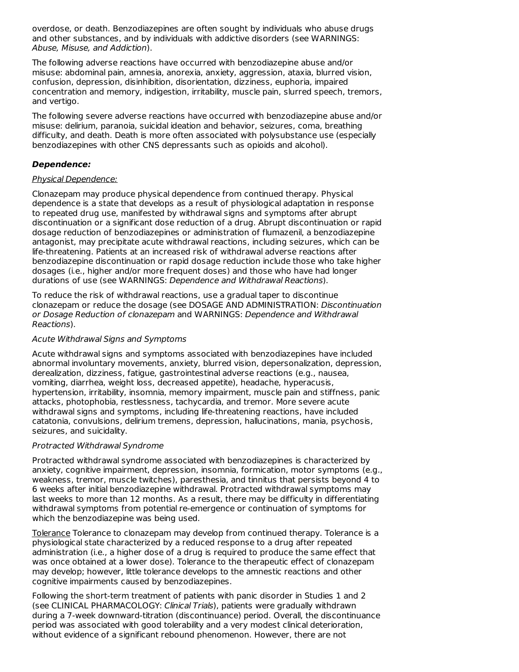overdose, or death. Benzodiazepines are often sought by individuals who abuse drugs and other substances, and by individuals with addictive disorders (see WARNINGS: Abuse, Misuse, and Addiction).

The following adverse reactions have occurred with benzodiazepine abuse and/or misuse: abdominal pain, amnesia, anorexia, anxiety, aggression, ataxia, blurred vision, confusion, depression, disinhibition, disorientation, dizziness, euphoria, impaired concentration and memory, indigestion, irritability, muscle pain, slurred speech, tremors, and vertigo.

The following severe adverse reactions have occurred with benzodiazepine abuse and/or misuse: delirium, paranoia, suicidal ideation and behavior, seizures, coma, breathing difficulty, and death. Death is more often associated with polysubstance use (especially benzodiazepines with other CNS depressants such as opioids and alcohol).

## **Dependence:**

### Physical Dependence:

Clonazepam may produce physical dependence from continued therapy. Physical dependence is a state that develops as a result of physiological adaptation in response to repeated drug use, manifested by withdrawal signs and symptoms after abrupt discontinuation or a significant dose reduction of a drug. Abrupt discontinuation or rapid dosage reduction of benzodiazepines or administration of flumazenil, a benzodiazepine antagonist, may precipitate acute withdrawal reactions, including seizures, which can be life-threatening. Patients at an increased risk of withdrawal adverse reactions after benzodiazepine discontinuation or rapid dosage reduction include those who take higher dosages (i.e., higher and/or more frequent doses) and those who have had longer durations of use (see WARNINGS: Dependence and Withdrawal Reactions).

To reduce the risk of withdrawal reactions, use a gradual taper to discontinue clonazepam or reduce the dosage (see DOSAGE AND ADMINISTRATION: Discontinuation or Dosage Reduction of clonazepam and WARNINGS: Dependence and Withdrawal Reactions).

### Acute Withdrawal Signs and Symptoms

Acute withdrawal signs and symptoms associated with benzodiazepines have included abnormal involuntary movements, anxiety, blurred vision, depersonalization, depression, derealization, dizziness, fatigue, gastrointestinal adverse reactions (e.g., nausea, vomiting, diarrhea, weight loss, decreased appetite), headache, hyperacusis, hypertension, irritability, insomnia, memory impairment, muscle pain and stiffness, panic attacks, photophobia, restlessness, tachycardia, and tremor. More severe acute withdrawal signs and symptoms, including life-threatening reactions, have included catatonia, convulsions, delirium tremens, depression, hallucinations, mania, psychosis, seizures, and suicidality.

#### Protracted Withdrawal Syndrome

Protracted withdrawal syndrome associated with benzodiazepines is characterized by anxiety, cognitive impairment, depression, insomnia, formication, motor symptoms (e.g., weakness, tremor, muscle twitches), paresthesia, and tinnitus that persists beyond 4 to 6 weeks after initial benzodiazepine withdrawal. Protracted withdrawal symptoms may last weeks to more than 12 months. As a result, there may be difficulty in differentiating withdrawal symptoms from potential re-emergence or continuation of symptoms for which the benzodiazepine was being used.

Tolerance Tolerance to clonazepam may develop from continued therapy. Tolerance is a physiological state characterized by a reduced response to a drug after repeated administration (i.e., a higher dose of a drug is required to produce the same effect that was once obtained at a lower dose). Tolerance to the therapeutic effect of clonazepam may develop; however, little tolerance develops to the amnestic reactions and other cognitive impairments caused by benzodiazepines.

Following the short-term treatment of patients with panic disorder in Studies 1 and 2 (see CLINICAL PHARMACOLOGY: Clinical Trials), patients were gradually withdrawn during a 7-week downward-titration (discontinuance) period. Overall, the discontinuance period was associated with good tolerability and a very modest clinical deterioration, without evidence of a significant rebound phenomenon. However, there are not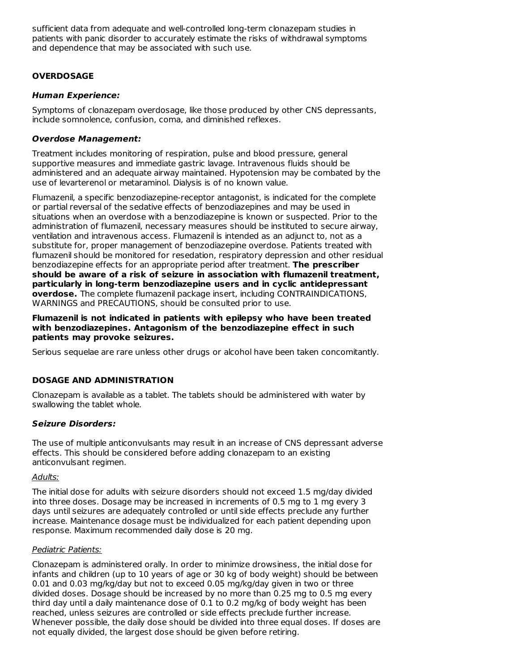sufficient data from adequate and well-controlled long-term clonazepam studies in patients with panic disorder to accurately estimate the risks of withdrawal symptoms and dependence that may be associated with such use.

## **OVERDOSAGE**

## **Human Experience:**

Symptoms of clonazepam overdosage, like those produced by other CNS depressants, include somnolence, confusion, coma, and diminished reflexes.

## **Overdose Management:**

Treatment includes monitoring of respiration, pulse and blood pressure, general supportive measures and immediate gastric lavage. Intravenous fluids should be administered and an adequate airway maintained. Hypotension may be combated by the use of levarterenol or metaraminol. Dialysis is of no known value.

Flumazenil, a specific benzodiazepine-receptor antagonist, is indicated for the complete or partial reversal of the sedative effects of benzodiazepines and may be used in situations when an overdose with a benzodiazepine is known or suspected. Prior to the administration of flumazenil, necessary measures should be instituted to secure airway, ventilation and intravenous access. Flumazenil is intended as an adjunct to, not as a substitute for, proper management of benzodiazepine overdose. Patients treated with flumazenil should be monitored for resedation, respiratory depression and other residual benzodiazepine effects for an appropriate period after treatment. **The prescriber should be aware of a risk of seizure in association with flumazenil treatment, particularly in long-term benzodiazepine users and in cyclic antidepressant overdose.** The complete flumazenil package insert, including CONTRAINDICATIONS, WARNINGS and PRECAUTIONS, should be consulted prior to use.

**Flumazenil is not indicated in patients with epilepsy who have been treated with benzodiazepines. Antagonism of the benzodiazepine effect in such patients may provoke seizures.**

Serious sequelae are rare unless other drugs or alcohol have been taken concomitantly.

# **DOSAGE AND ADMINISTRATION**

Clonazepam is available as a tablet. The tablets should be administered with water by swallowing the tablet whole.

## **Seizure Disorders:**

The use of multiple anticonvulsants may result in an increase of CNS depressant adverse effects. This should be considered before adding clonazepam to an existing anticonvulsant regimen.

## Adults:

The initial dose for adults with seizure disorders should not exceed 1.5 mg/day divided into three doses. Dosage may be increased in increments of 0.5 mg to 1 mg every 3 days until seizures are adequately controlled or until side effects preclude any further increase. Maintenance dosage must be individualized for each patient depending upon response. Maximum recommended daily dose is 20 mg.

## Pediatric Patients:

Clonazepam is administered orally. In order to minimize drowsiness, the initial dose for infants and children (up to 10 years of age or 30 kg of body weight) should be between 0.01 and 0.03 mg/kg/day but not to exceed 0.05 mg/kg/day given in two or three divided doses. Dosage should be increased by no more than 0.25 mg to 0.5 mg every third day until a daily maintenance dose of 0.1 to 0.2 mg/kg of body weight has been reached, unless seizures are controlled or side effects preclude further increase. Whenever possible, the daily dose should be divided into three equal doses. If doses are not equally divided, the largest dose should be given before retiring.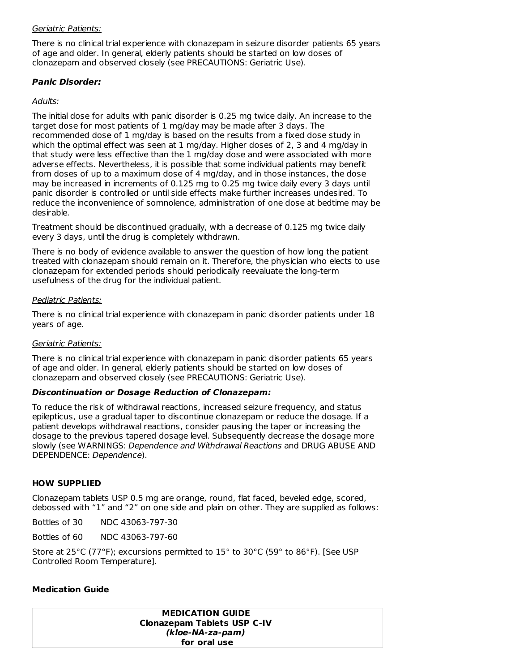## Geriatric Patients:

There is no clinical trial experience with clonazepam in seizure disorder patients 65 years of age and older. In general, elderly patients should be started on low doses of clonazepam and observed closely (see PRECAUTIONS: Geriatric Use).

### **Panic Disorder:**

### Adults:

The initial dose for adults with panic disorder is 0.25 mg twice daily. An increase to the target dose for most patients of 1 mg/day may be made after 3 days. The recommended dose of 1 mg/day is based on the results from a fixed dose study in which the optimal effect was seen at 1 mg/day. Higher doses of 2, 3 and 4 mg/day in that study were less effective than the 1 mg/day dose and were associated with more adverse effects. Nevertheless, it is possible that some individual patients may benefit from doses of up to a maximum dose of 4 mg/day, and in those instances, the dose may be increased in increments of 0.125 mg to 0.25 mg twice daily every 3 days until panic disorder is controlled or until side effects make further increases undesired. To reduce the inconvenience of somnolence, administration of one dose at bedtime may be desirable.

Treatment should be discontinued gradually, with a decrease of 0.125 mg twice daily every 3 days, until the drug is completely withdrawn.

There is no body of evidence available to answer the question of how long the patient treated with clonazepam should remain on it. Therefore, the physician who elects to use clonazepam for extended periods should periodically reevaluate the long-term usefulness of the drug for the individual patient.

### Pediatric Patients:

There is no clinical trial experience with clonazepam in panic disorder patients under 18 years of age.

#### Geriatric Patients:

There is no clinical trial experience with clonazepam in panic disorder patients 65 years of age and older. In general, elderly patients should be started on low doses of clonazepam and observed closely (see PRECAUTIONS: Geriatric Use).

## **Discontinuation or Dosage Reduction of Clonazepam:**

To reduce the risk of withdrawal reactions, increased seizure frequency, and status epilepticus, use a gradual taper to discontinue clonazepam or reduce the dosage. If a patient develops withdrawal reactions, consider pausing the taper or increasing the dosage to the previous tapered dosage level. Subsequently decrease the dosage more slowly (see WARNINGS: Dependence and Withdrawal Reactions and DRUG ABUSE AND DEPENDENCE: Dependence).

## **HOW SUPPLIED**

Clonazepam tablets USP 0.5 mg are orange, round, flat faced, beveled edge, scored, debossed with "1" and "2" on one side and plain on other. They are supplied as follows:

Bottles of 30 NDC 43063-797-30

Bottles of 60 NDC 43063-797-60

Store at 25°C (77°F); excursions permitted to 15° to 30°C (59° to 86°F). [See USP Controlled Room Temperature].

#### **Medication Guide**

**MEDICATION GUIDE Clonazepam Tablets USP C-IV (kloe-NA-za-pam) for oral use**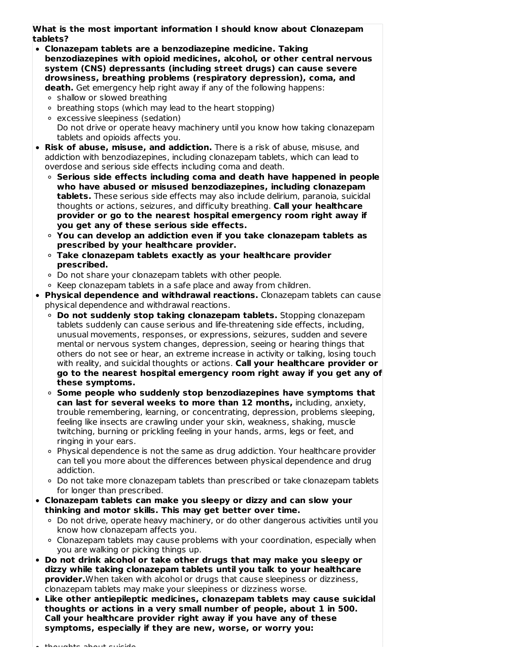### **What is the most important information I should know about Clonazepam tablets?**

- **Clonazepam tablets are a benzodiazepine medicine. Taking benzodiazepines with opioid medicines, alcohol, or other central nervous system (CNS) depressants (including street drugs) can cause severe drowsiness, breathing problems (respiratory depression), coma, and death.** Get emergency help right away if any of the following happens:
	- shallow or slowed breathing
	- o breathing stops (which may lead to the heart stopping)
	- excessive sleepiness (sedation) Do not drive or operate heavy machinery until you know how taking clonazepam tablets and opioids affects you.
- **Risk of abuse, misuse, and addiction.** There is a risk of abuse, misuse, and addiction with benzodiazepines, including clonazepam tablets, which can lead to overdose and serious side effects including coma and death.
	- **Serious side effects including coma and death have happened in people who have abused or misused benzodiazepines, including clonazepam tablets.** These serious side effects may also include delirium, paranoia, suicidal thoughts or actions, seizures, and difficulty breathing. **Call your healthcare provider or go to the nearest hospital emergency room right away if you get any of these serious side effects.**
	- **You can develop an addiction even if you take clonazepam tablets as prescribed by your healthcare provider.**
	- **Take clonazepam tablets exactly as your healthcare provider prescribed.**
	- Do not share your clonazepam tablets with other people.
	- Keep clonazepam tablets in a safe place and away from children.
- **Physical dependence and withdrawal reactions.** Clonazepam tablets can cause physical dependence and withdrawal reactions.
	- **Do not suddenly stop taking clonazepam tablets.** Stopping clonazepam tablets suddenly can cause serious and life-threatening side effects, including, unusual movements, responses, or expressions, seizures, sudden and severe mental or nervous system changes, depression, seeing or hearing things that others do not see or hear, an extreme increase in activity or talking, losing touch with reality, and suicidal thoughts or actions. **Call your healthcare provider or go to the nearest hospital emergency room right away if you get any of these symptoms.**
	- **Some people who suddenly stop benzodiazepines have symptoms that can last for several weeks to more than 12 months,** including, anxiety, trouble remembering, learning, or concentrating, depression, problems sleeping, feeling like insects are crawling under your skin, weakness, shaking, muscle twitching, burning or prickling feeling in your hands, arms, legs or feet, and ringing in your ears.
	- $\circ$  Physical dependence is not the same as drug addiction. Your healthcare provider can tell you more about the differences between physical dependence and drug addiction.
	- Do not take more clonazepam tablets than prescribed or take clonazepam tablets for longer than prescribed.
- **Clonazepam tablets can make you sleepy or dizzy and can slow your thinking and motor skills. This may get better over time.**
	- Do not drive, operate heavy machinery, or do other dangerous activities until you know how clonazepam affects you.
	- Clonazepam tablets may cause problems with your coordination, especially when you are walking or picking things up.
- **Do not drink alcohol or take other drugs that may make you sleepy or dizzy while taking clonazepam tablets until you talk to your healthcare provider.** When taken with alcohol or drugs that cause sleepiness or dizziness, clonazepam tablets may make your sleepiness or dizziness worse.
- **Like other antiepileptic medicines, clonazepam tablets may cause suicidal thoughts or actions in a very small number of people, about 1 in 500. Call your healthcare provider right away if you have any of these symptoms, especially if they are new, worse, or worry you:**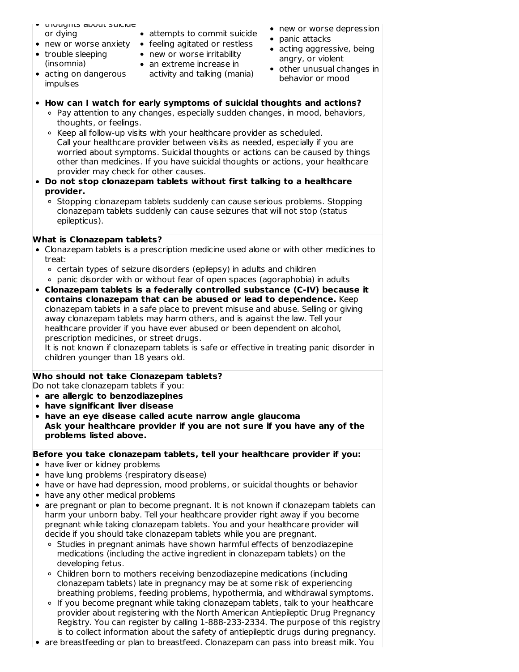- thoughts about suicide or dying
- 
- attempts to commit suicide
- new or worse anxiety feeling agitated or restless
- trouble sleeping (insomnia)
- new or worse irritability • an extreme increase in
- acting on dangerous impulses
- activity and talking (mania)
- new or worse depression
- panic attacks
- acting aggressive, being angry, or violent
- other unusual changes in behavior or mood

# **How can I watch for early symptoms of suicidal thoughts and actions?**

- Pay attention to any changes, especially sudden changes, in mood, behaviors, thoughts, or feelings.
- Keep all follow-up visits with your healthcare provider as scheduled. Call your healthcare provider between visits as needed, especially if you are worried about symptoms. Suicidal thoughts or actions can be caused by things other than medicines. If you have suicidal thoughts or actions, your healthcare provider may check for other causes.
- **Do not stop clonazepam tablets without first talking to a healthcare provider.**
	- $\circ$  Stopping clonazepam tablets suddenly can cause serious problems. Stopping clonazepam tablets suddenly can cause seizures that will not stop (status epilepticus).

## **What is Clonazepam tablets?**

- Clonazepam tablets is a prescription medicine used alone or with other medicines to treat:
	- certain types of seizure disorders (epilepsy) in adults and children
	- panic disorder with or without fear of open spaces (agoraphobia) in adults
- **Clonazepam tablets is a federally controlled substance (C-IV) because it contains clonazepam that can be abused or lead to dependence.** Keep clonazepam tablets in a safe place to prevent misuse and abuse. Selling or giving away clonazepam tablets may harm others, and is against the law. Tell your healthcare provider if you have ever abused or been dependent on alcohol, prescription medicines, or street drugs.

It is not known if clonazepam tablets is safe or effective in treating panic disorder in children younger than 18 years old.

# **Who should not take Clonazepam tablets?**

Do not take clonazepam tablets if you:

- **are allergic to benzodiazepines**
- **have significant liver disease**
- **have an eye disease called acute narrow angle glaucoma Ask your healthcare provider if you are not sure if you have any of the problems listed above.**

# **Before you take clonazepam tablets, tell your healthcare provider if you:**

- have liver or kidney problems
- have lung problems (respiratory disease)
- have or have had depression, mood problems, or suicidal thoughts or behavior
- have any other medical problems
- are pregnant or plan to become pregnant. It is not known if clonazepam tablets can harm your unborn baby. Tell your healthcare provider right away if you become pregnant while taking clonazepam tablets. You and your healthcare provider will decide if you should take clonazepam tablets while you are pregnant.
	- $\circ$  Studies in pregnant animals have shown harmful effects of benzodiazepine medications (including the active ingredient in clonazepam tablets) on the developing fetus.
	- Children born to mothers receiving benzodiazepine medications (including clonazepam tablets) late in pregnancy may be at some risk of experiencing breathing problems, feeding problems, hypothermia, and withdrawal symptoms.
	- If you become pregnant while taking clonazepam tablets, talk to your healthcare provider about registering with the North American Antiepileptic Drug Pregnancy Registry. You can register by calling 1-888-233-2334. The purpose of this registry is to collect information about the safety of antiepileptic drugs during pregnancy.
- are breastfeeding or plan to breastfeed. Clonazepam can pass into breast milk. You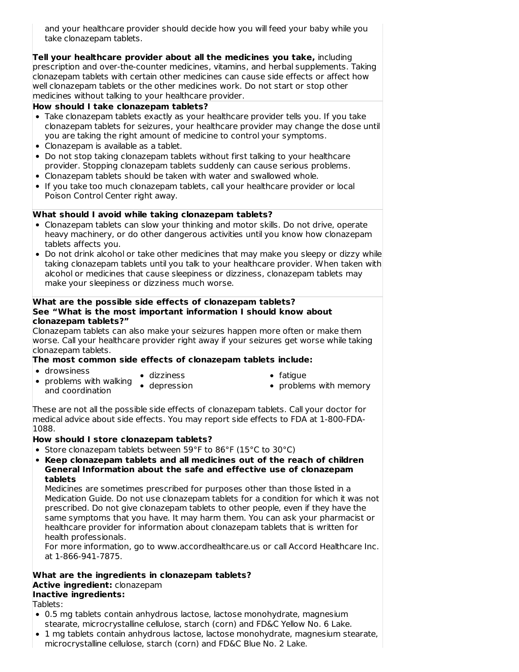and your healthcare provider should decide how you will feed your baby while you take clonazepam tablets.

**Tell your healthcare provider about all the medicines you take,** including prescription and over-the-counter medicines, vitamins, and herbal supplements. Taking clonazepam tablets with certain other medicines can cause side effects or affect how well clonazepam tablets or the other medicines work. Do not start or stop other medicines without talking to your healthcare provider.

#### **How should I take clonazepam tablets?**

- Take clonazepam tablets exactly as your healthcare provider tells you. If you take clonazepam tablets for seizures, your healthcare provider may change the dose until you are taking the right amount of medicine to control your symptoms.
- Clonazepam is available as a tablet.
- Do not stop taking clonazepam tablets without first talking to your healthcare provider. Stopping clonazepam tablets suddenly can cause serious problems.
- Clonazepam tablets should be taken with water and swallowed whole.
- If you take too much clonazepam tablets, call your healthcare provider or local Poison Control Center right away.

## **What should I avoid while taking clonazepam tablets?**

- Clonazepam tablets can slow your thinking and motor skills. Do not drive, operate heavy machinery, or do other dangerous activities until you know how clonazepam tablets affects you.
- Do not drink alcohol or take other medicines that may make you sleepy or dizzy while taking clonazepam tablets until you talk to your healthcare provider. When taken with alcohol or medicines that cause sleepiness or dizziness, clonazepam tablets may make your sleepiness or dizziness much worse.

#### **What are the possible side effects of clonazepam tablets? See "What is the most important information I should know about clonazepam tablets?"**

Clonazepam tablets can also make your seizures happen more often or make them worse. Call your healthcare provider right away if your seizures get worse while taking clonazepam tablets.

## **The most common side effects of clonazepam tablets include:**

• drowsiness

and coordination

problems with walking dizziness depression

- fatigue
- problems with memory

These are not all the possible side effects of clonazepam tablets. Call your doctor for medical advice about side effects. You may report side effects to FDA at 1-800-FDA-1088.

## **How should I store clonazepam tablets?**

- Store clonazepam tablets between 59°F to 86°F (15°C to 30°C)
- **Keep clonazepam tablets and all medicines out of the reach of children General Information about the safe and effective use of clonazepam tablets**

Medicines are sometimes prescribed for purposes other than those listed in a Medication Guide. Do not use clonazepam tablets for a condition for which it was not prescribed. Do not give clonazepam tablets to other people, even if they have the same symptoms that you have. It may harm them. You can ask your pharmacist or healthcare provider for information about clonazepam tablets that is written for health professionals.

For more information, go to www.accordhealthcare.us or call Accord Healthcare Inc. at 1-866-941-7875.

## **What are the ingredients in clonazepam tablets? Active ingredient:** clonazepam **Inactive ingredients:**

Tablets:

- 0.5 mg tablets contain anhydrous lactose, lactose monohydrate, magnesium stearate, microcrystalline cellulose, starch (corn) and FD&C Yellow No. 6 Lake.
- 1 mg tablets contain anhydrous lactose, lactose monohydrate, magnesium stearate, microcrystalline cellulose, starch (corn) and FD&C Blue No. 2 Lake.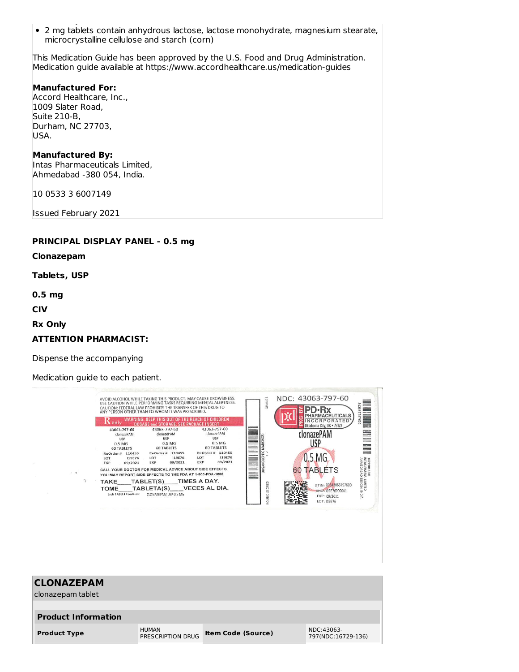microcrystalline cellulose, starch (corn) and FD&C Blue No. 2 Lake. 2 mg tablets contain anhydrous lactose, lactose monohydrate, magnesium stearate, microcrystalline cellulose and starch (corn)

This Medication Guide has been approved by the U.S. Food and Drug Administration. Medication guide available at https://www.accordhealthcare.us/medication-guides

#### **Manufactured For:**

Accord Healthcare, Inc., 1009 Slater Road, Suite 210-B, Durham, NC 27703, USA.

### **Manufactured By:**

Intas Pharmaceuticals Limited, Ahmedabad -380 054, India.

10 0533 3 6007149

Issued February 2021

## **PRINCIPAL DISPLAY PANEL - 0.5 mg**

#### **Clonazepam**

**Tablets, USP**

**0.5 mg**

**CIV**

**Rx Only**

## **ATTENTION PHARMACIST:**

Dispense the accompanying

Medication guide to each patient.



| <b>CLONAZEPAM</b><br>clonazepam tablet |                                   |                           |                                  |  |  |
|----------------------------------------|-----------------------------------|---------------------------|----------------------------------|--|--|
| <b>Product Information</b>             |                                   |                           |                                  |  |  |
| <b>Product Type</b>                    | <b>HUMAN</b><br>PRESCRIPTION DRUG | <b>Item Code (Source)</b> | NDC:43063-<br>797(NDC:16729-136) |  |  |